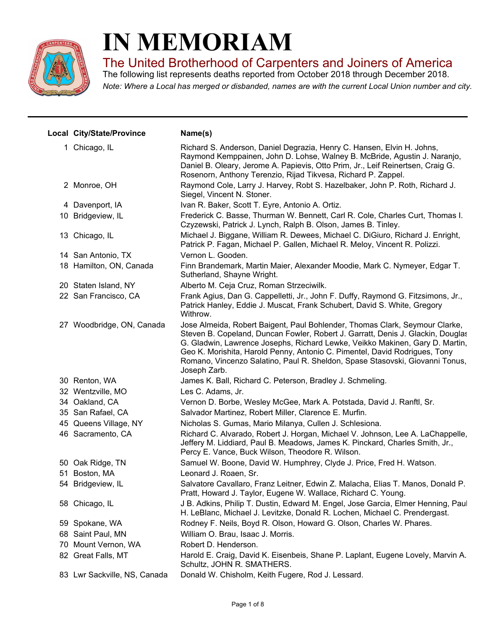

## **IN MEMORIAM**

The United Brotherhood of Carpenters and Joiners of America

*Note: Where a Local has merged or disbanded, names are with the current Local Union number and city.* The following list represents deaths reported from October 2018 through December 2018.

| Local City/State/Province    | Name(s)                                                                                                                                                                                                                                                                                                                                                                                                                      |
|------------------------------|------------------------------------------------------------------------------------------------------------------------------------------------------------------------------------------------------------------------------------------------------------------------------------------------------------------------------------------------------------------------------------------------------------------------------|
| 1 Chicago, IL                | Richard S. Anderson, Daniel Degrazia, Henry C. Hansen, Elvin H. Johns,<br>Raymond Kemppainen, John D. Lohse, Walney B. McBride, Agustin J. Naranjo,<br>Daniel B. Oleary, Jerome A. Papievis, Otto Prim, Jr., Leif Reinertsen, Craig G.<br>Rosenorn, Anthony Terenzio, Rijad Tikvesa, Richard P. Zappel.                                                                                                                      |
| 2 Monroe, OH                 | Raymond Cole, Larry J. Harvey, Robt S. Hazelbaker, John P. Roth, Richard J.<br>Siegel, Vincent N. Stoner.                                                                                                                                                                                                                                                                                                                    |
| 4 Davenport, IA              | Ivan R. Baker, Scott T. Eyre, Antonio A. Ortiz.                                                                                                                                                                                                                                                                                                                                                                              |
| 10 Bridgeview, IL            | Frederick C. Basse, Thurman W. Bennett, Carl R. Cole, Charles Curt, Thomas I.<br>Czyzewski, Patrick J. Lynch, Ralph B. Olson, James B. Tinley.                                                                                                                                                                                                                                                                               |
| 13 Chicago, IL               | Michael J. Biggane, William R. Dewees, Michael C. DiGiuro, Richard J. Enright,<br>Patrick P. Fagan, Michael P. Gallen, Michael R. Meloy, Vincent R. Polizzi.                                                                                                                                                                                                                                                                 |
| 14 San Antonio, TX           | Vernon L. Gooden.                                                                                                                                                                                                                                                                                                                                                                                                            |
| 18 Hamilton, ON, Canada      | Finn Brandemark, Martin Maier, Alexander Moodie, Mark C. Nymeyer, Edgar T.<br>Sutherland, Shayne Wright.                                                                                                                                                                                                                                                                                                                     |
| 20 Staten Island, NY         | Alberto M. Ceja Cruz, Roman Strzeciwilk.                                                                                                                                                                                                                                                                                                                                                                                     |
| 22 San Francisco, CA         | Frank Agius, Dan G. Cappelletti, Jr., John F. Duffy, Raymond G. Fitzsimons, Jr.,<br>Patrick Hanley, Eddie J. Muscat, Frank Schubert, David S. White, Gregory<br>Withrow.                                                                                                                                                                                                                                                     |
| 27 Woodbridge, ON, Canada    | Jose Almeida, Robert Baigent, Paul Bohlender, Thomas Clark, Seymour Clarke,<br>Steven B. Copeland, Duncan Fowler, Robert J. Garratt, Denis J. Glackin, Douglas<br>G. Gladwin, Lawrence Josephs, Richard Lewke, Veikko Makinen, Gary D. Martin,<br>Geo K. Morishita, Harold Penny, Antonio C. Pimentel, David Rodrigues, Tony<br>Romano, Vincenzo Salatino, Paul R. Sheldon, Spase Stasovski, Giovanni Tonus,<br>Joseph Zarb. |
| 30 Renton, WA                | James K. Ball, Richard C. Peterson, Bradley J. Schmeling.                                                                                                                                                                                                                                                                                                                                                                    |
| 32 Wentzville, MO            | Les C. Adams, Jr.                                                                                                                                                                                                                                                                                                                                                                                                            |
| 34 Oakland, CA               | Vernon D. Borbe, Wesley McGee, Mark A. Potstada, David J. Ranftl, Sr.                                                                                                                                                                                                                                                                                                                                                        |
| 35 San Rafael, CA            | Salvador Martinez, Robert Miller, Clarence E. Murfin.                                                                                                                                                                                                                                                                                                                                                                        |
| 45 Queens Village, NY        | Nicholas S. Gumas, Mario Milanya, Cullen J. Schlesiona.                                                                                                                                                                                                                                                                                                                                                                      |
| 46 Sacramento, CA            | Richard C. Alvarado, Robert J. Horgan, Michael V. Johnson, Lee A. LaChappelle,<br>Jeffery M. Liddiard, Paul B. Meadows, James K. Pinckard, Charles Smith, Jr.,<br>Percy E. Vance, Buck Wilson, Theodore R. Wilson.                                                                                                                                                                                                           |
| 50 Oak Ridge, TN             | Samuel W. Boone, David W. Humphrey, Clyde J. Price, Fred H. Watson.                                                                                                                                                                                                                                                                                                                                                          |
| 51 Boston, MA                | Leonard J. Roaen, Sr.                                                                                                                                                                                                                                                                                                                                                                                                        |
| 54 Bridgeview, IL            | Salvatore Cavallaro, Franz Leitner, Edwin Z. Malacha, Elias T. Manos, Donald P.<br>Pratt, Howard J. Taylor, Eugene W. Wallace, Richard C. Young.                                                                                                                                                                                                                                                                             |
| 58 Chicago, IL               | J B. Adkins, Philip T. Dustin, Edward M. Engel, Jose Garcia, Elmer Henning, Paul<br>H. LeBlanc, Michael J. Levitzke, Donald R. Lochen, Michael C. Prendergast.                                                                                                                                                                                                                                                               |
| 59 Spokane, WA               | Rodney F. Neils, Boyd R. Olson, Howard G. Olson, Charles W. Phares.                                                                                                                                                                                                                                                                                                                                                          |
| 68 Saint Paul, MN            | William O. Brau, Isaac J. Morris.                                                                                                                                                                                                                                                                                                                                                                                            |
| 70 Mount Vernon, WA          | Robert D. Henderson.                                                                                                                                                                                                                                                                                                                                                                                                         |
| 82 Great Falls, MT           | Harold E. Craig, David K. Eisenbeis, Shane P. Laplant, Eugene Lovely, Marvin A.<br>Schultz, JOHN R. SMATHERS.                                                                                                                                                                                                                                                                                                                |
| 83 Lwr Sackville, NS, Canada | Donald W. Chisholm, Keith Fugere, Rod J. Lessard.                                                                                                                                                                                                                                                                                                                                                                            |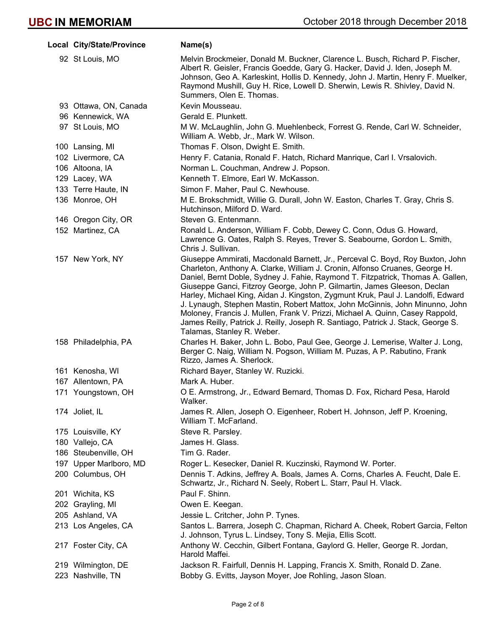| Local City/State/Province | Name(s)                                                                                                                                                                                                                                                                                                                                                                                                                                                                                                                                                                                                                                                                                           |
|---------------------------|---------------------------------------------------------------------------------------------------------------------------------------------------------------------------------------------------------------------------------------------------------------------------------------------------------------------------------------------------------------------------------------------------------------------------------------------------------------------------------------------------------------------------------------------------------------------------------------------------------------------------------------------------------------------------------------------------|
| 92 St Louis, MO           | Melvin Brockmeier, Donald M. Buckner, Clarence L. Busch, Richard P. Fischer,<br>Albert R. Geisler, Francis Goedde, Gary G. Hacker, David J. Iden, Joseph M.<br>Johnson, Geo A. Karleskint, Hollis D. Kennedy, John J. Martin, Henry F. Muelker,<br>Raymond Mushill, Guy H. Rice, Lowell D. Sherwin, Lewis R. Shivley, David N.<br>Summers, Olen E. Thomas.                                                                                                                                                                                                                                                                                                                                        |
| 93 Ottawa, ON, Canada     | Kevin Mousseau.                                                                                                                                                                                                                                                                                                                                                                                                                                                                                                                                                                                                                                                                                   |
| 96 Kennewick, WA          | Gerald E. Plunkett.                                                                                                                                                                                                                                                                                                                                                                                                                                                                                                                                                                                                                                                                               |
| 97 St Louis, MO           | M W. McLaughlin, John G. Muehlenbeck, Forrest G. Rende, Carl W. Schneider,<br>William A. Webb, Jr., Mark W. Wilson.                                                                                                                                                                                                                                                                                                                                                                                                                                                                                                                                                                               |
| 100 Lansing, MI           | Thomas F. Olson, Dwight E. Smith.                                                                                                                                                                                                                                                                                                                                                                                                                                                                                                                                                                                                                                                                 |
| 102 Livermore, CA         | Henry F. Catania, Ronald F. Hatch, Richard Manrique, Carl I. Vrsalovich.                                                                                                                                                                                                                                                                                                                                                                                                                                                                                                                                                                                                                          |
| 106 Altoona, IA           | Norman L. Couchman, Andrew J. Popson.                                                                                                                                                                                                                                                                                                                                                                                                                                                                                                                                                                                                                                                             |
| 129 Lacey, WA             | Kenneth T. Elmore, Earl W. McKasson.                                                                                                                                                                                                                                                                                                                                                                                                                                                                                                                                                                                                                                                              |
| 133 Terre Haute, IN       | Simon F. Maher, Paul C. Newhouse.                                                                                                                                                                                                                                                                                                                                                                                                                                                                                                                                                                                                                                                                 |
| 136 Monroe, OH            | M E. Brokschmidt, Willie G. Durall, John W. Easton, Charles T. Gray, Chris S.<br>Hutchinson, Milford D. Ward.                                                                                                                                                                                                                                                                                                                                                                                                                                                                                                                                                                                     |
| 146 Oregon City, OR       | Steven G. Entenmann.                                                                                                                                                                                                                                                                                                                                                                                                                                                                                                                                                                                                                                                                              |
| 152 Martinez, CA          | Ronald L. Anderson, William F. Cobb, Dewey C. Conn, Odus G. Howard,<br>Lawrence G. Oates, Ralph S. Reyes, Trever S. Seabourne, Gordon L. Smith,<br>Chris J. Sullivan.                                                                                                                                                                                                                                                                                                                                                                                                                                                                                                                             |
| 157 New York, NY          | Giuseppe Ammirati, Macdonald Barnett, Jr., Perceval C. Boyd, Roy Buxton, John<br>Charleton, Anthony A. Clarke, William J. Cronin, Alfonso Cruanes, George H.<br>Daniel, Bernt Doble, Sydney J. Fahie, Raymond T. Fitzpatrick, Thomas A. Gallen,<br>Giuseppe Ganci, Fitzroy George, John P. Gilmartin, James Gleeson, Declan<br>Harley, Michael King, Aidan J. Kingston, Zygmunt Kruk, Paul J. Landolfi, Edward<br>J. Lynaugh, Stephen Mastin, Robert Mattox, John McGinnis, John Minunno, John<br>Moloney, Francis J. Mullen, Frank V. Prizzi, Michael A. Quinn, Casey Rappold,<br>James Reilly, Patrick J. Reilly, Joseph R. Santiago, Patrick J. Stack, George S.<br>Talamas, Stanley R. Weber. |
| 158 Philadelphia, PA      | Charles H. Baker, John L. Bobo, Paul Gee, George J. Lemerise, Walter J. Long,<br>Berger C. Naig, William N. Pogson, William M. Puzas, A P. Rabutino, Frank<br>Rizzo, James A. Sherlock.                                                                                                                                                                                                                                                                                                                                                                                                                                                                                                           |
| 161 Kenosha, WI           | Richard Bayer, Stanley W. Ruzicki.                                                                                                                                                                                                                                                                                                                                                                                                                                                                                                                                                                                                                                                                |
| 167 Allentown, PA         | Mark A. Huber.                                                                                                                                                                                                                                                                                                                                                                                                                                                                                                                                                                                                                                                                                    |
| 171 Youngstown, OH        | O E. Armstrong, Jr., Edward Bernard, Thomas D. Fox, Richard Pesa, Harold<br>Walker.                                                                                                                                                                                                                                                                                                                                                                                                                                                                                                                                                                                                               |
| 174 Joliet, IL            | James R. Allen, Joseph O. Eigenheer, Robert H. Johnson, Jeff P. Kroening,<br>William T. McFarland.                                                                                                                                                                                                                                                                                                                                                                                                                                                                                                                                                                                                |
| 175 Louisville, KY        | Steve R. Parsley.                                                                                                                                                                                                                                                                                                                                                                                                                                                                                                                                                                                                                                                                                 |
| 180 Vallejo, CA           | James H. Glass.                                                                                                                                                                                                                                                                                                                                                                                                                                                                                                                                                                                                                                                                                   |
| 186 Steubenville, OH      | Tim G. Rader.                                                                                                                                                                                                                                                                                                                                                                                                                                                                                                                                                                                                                                                                                     |
| 197 Upper Marlboro, MD    | Roger L. Kesecker, Daniel R. Kuczinski, Raymond W. Porter.                                                                                                                                                                                                                                                                                                                                                                                                                                                                                                                                                                                                                                        |
| 200 Columbus, OH          | Dennis T. Adkins, Jeffrey A. Boals, James A. Corns, Charles A. Feucht, Dale E.<br>Schwartz, Jr., Richard N. Seely, Robert L. Starr, Paul H. Vlack.                                                                                                                                                                                                                                                                                                                                                                                                                                                                                                                                                |
| 201 Wichita, KS           | Paul F. Shinn.                                                                                                                                                                                                                                                                                                                                                                                                                                                                                                                                                                                                                                                                                    |
| 202 Grayling, MI          | Owen E. Keegan.                                                                                                                                                                                                                                                                                                                                                                                                                                                                                                                                                                                                                                                                                   |
| 205 Ashland, VA           | Jessie L. Critcher, John P. Tynes.                                                                                                                                                                                                                                                                                                                                                                                                                                                                                                                                                                                                                                                                |
| 213 Los Angeles, CA       | Santos L. Barrera, Joseph C. Chapman, Richard A. Cheek, Robert Garcia, Felton<br>J. Johnson, Tyrus L. Lindsey, Tony S. Mejia, Ellis Scott.                                                                                                                                                                                                                                                                                                                                                                                                                                                                                                                                                        |
| 217 Foster City, CA       | Anthony W. Cecchin, Gilbert Fontana, Gaylord G. Heller, George R. Jordan,<br>Harold Maffei.                                                                                                                                                                                                                                                                                                                                                                                                                                                                                                                                                                                                       |
| 219 Wilmington, DE        | Jackson R. Fairfull, Dennis H. Lapping, Francis X. Smith, Ronald D. Zane.                                                                                                                                                                                                                                                                                                                                                                                                                                                                                                                                                                                                                         |
| 223 Nashville, TN         | Bobby G. Evitts, Jayson Moyer, Joe Rohling, Jason Sloan.                                                                                                                                                                                                                                                                                                                                                                                                                                                                                                                                                                                                                                          |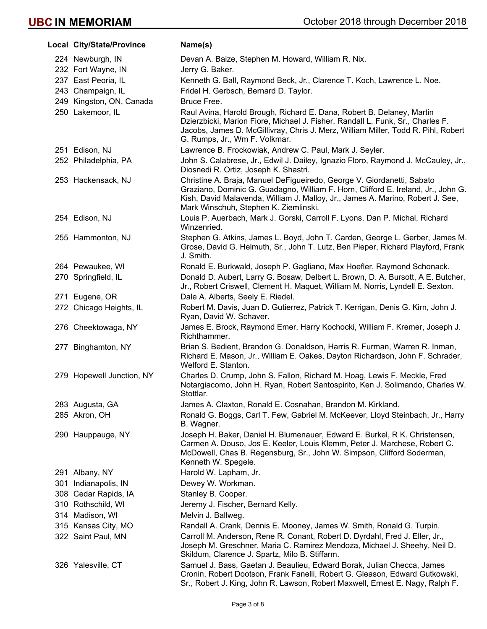| Local City/State/Province | Name(s)                                                                                                                                                                                                                                                                                |
|---------------------------|----------------------------------------------------------------------------------------------------------------------------------------------------------------------------------------------------------------------------------------------------------------------------------------|
| 224 Newburgh, IN          | Devan A. Baize, Stephen M. Howard, William R. Nix.                                                                                                                                                                                                                                     |
| 232 Fort Wayne, IN        | Jerry G. Baker.                                                                                                                                                                                                                                                                        |
| 237 East Peoria, IL       | Kenneth G. Ball, Raymond Beck, Jr., Clarence T. Koch, Lawrence L. Noe.                                                                                                                                                                                                                 |
| 243 Champaign, IL         | Fridel H. Gerbsch, Bernard D. Taylor.                                                                                                                                                                                                                                                  |
| 249 Kingston, ON, Canada  | Bruce Free.                                                                                                                                                                                                                                                                            |
| 250 Lakemoor, IL          | Raul Avina, Harold Brough, Richard E. Dana, Robert B. Delaney, Martin<br>Dzierzbicki, Marion Fiore, Michael J. Fisher, Randall L. Funk, Sr., Charles F.<br>Jacobs, James D. McGillivray, Chris J. Merz, William Miller, Todd R. Pihl, Robert<br>G. Rumps, Jr., Wm F. Volkmar.          |
| 251 Edison, NJ            | Lawrence B. Frockowiak, Andrew C. Paul, Mark J. Seyler.                                                                                                                                                                                                                                |
| 252 Philadelphia, PA      | John S. Calabrese, Jr., Edwil J. Dailey, Ignazio Floro, Raymond J. McCauley, Jr.,<br>Diosnedi R. Ortiz, Joseph K. Shastri.                                                                                                                                                             |
| 253 Hackensack, NJ        | Christine A. Braja, Manuel DeFigueiredo, George V. Giordanetti, Sabato<br>Graziano, Dominic G. Guadagno, William F. Horn, Clifford E. Ireland, Jr., John G.<br>Kish, David Malavenda, William J. Malloy, Jr., James A. Marino, Robert J. See,<br>Mark Winschuh, Stephen K. Ziemlinski. |
| 254 Edison, NJ            | Louis P. Auerbach, Mark J. Gorski, Carroll F. Lyons, Dan P. Michal, Richard<br>Winzenried.                                                                                                                                                                                             |
| 255 Hammonton, NJ         | Stephen G. Atkins, James L. Boyd, John T. Carden, George L. Gerber, James M.<br>Grose, David G. Helmuth, Sr., John T. Lutz, Ben Pieper, Richard Playford, Frank<br>J. Smith.                                                                                                           |
| 264 Pewaukee, WI          | Ronald E. Burkwald, Joseph P. Gagliano, Max Hoefler, Raymond Schonack.                                                                                                                                                                                                                 |
| 270 Springfield, IL       | Donald D. Aubert, Larry G. Bosaw, Delbert L. Brown, D. A. Bursott, A E. Butcher,<br>Jr., Robert Criswell, Clement H. Maquet, William M. Norris, Lyndell E. Sexton.                                                                                                                     |
| 271 Eugene, OR            | Dale A. Alberts, Seely E. Riedel.                                                                                                                                                                                                                                                      |
| 272 Chicago Heights, IL   | Robert M. Davis, Juan D. Gutierrez, Patrick T. Kerrigan, Denis G. Kirn, John J.<br>Ryan, David W. Schaver.                                                                                                                                                                             |
| 276 Cheektowaga, NY       | James E. Brock, Raymond Emer, Harry Kochocki, William F. Kremer, Joseph J.<br>Richthammer.                                                                                                                                                                                             |
| 277 Binghamton, NY        | Brian S. Bedient, Brandon G. Donaldson, Harris R. Furman, Warren R. Inman,<br>Richard E. Mason, Jr., William E. Oakes, Dayton Richardson, John F. Schrader,<br>Welford E. Stanton.                                                                                                     |
| 279 Hopewell Junction, NY | Charles D. Crump, John S. Fallon, Richard M. Hoag, Lewis F. Meckle, Fred<br>Notargiacomo, John H. Ryan, Robert Santospirito, Ken J. Solimando, Charles W.<br>Stottlar.                                                                                                                 |
| 283 Augusta, GA           | James A. Claxton, Ronald E. Cosnahan, Brandon M. Kirkland.                                                                                                                                                                                                                             |
| 285 Akron, OH             | Ronald G. Boggs, Carl T. Few, Gabriel M. McKeever, Lloyd Steinbach, Jr., Harry<br>B. Wagner.                                                                                                                                                                                           |
| 290 Hauppauge, NY         | Joseph H. Baker, Daniel H. Blumenauer, Edward E. Burkel, R K. Christensen,<br>Carmen A. Douso, Jos E. Keeler, Louis Klemm, Peter J. Marchese, Robert C.<br>McDowell, Chas B. Regensburg, Sr., John W. Simpson, Clifford Soderman,<br>Kenneth W. Spegele.                               |
| 291 Albany, NY            | Harold W. Lapham, Jr.                                                                                                                                                                                                                                                                  |
| 301 Indianapolis, IN      | Dewey W. Workman.                                                                                                                                                                                                                                                                      |
| 308 Cedar Rapids, IA      | Stanley B. Cooper.                                                                                                                                                                                                                                                                     |
| 310 Rothschild, WI        | Jeremy J. Fischer, Bernard Kelly.                                                                                                                                                                                                                                                      |
| 314 Madison, WI           | Melvin J. Ballweg.                                                                                                                                                                                                                                                                     |
| 315 Kansas City, MO       | Randall A. Crank, Dennis E. Mooney, James W. Smith, Ronald G. Turpin.                                                                                                                                                                                                                  |
| 322 Saint Paul, MN        | Carroll M. Anderson, Rene R. Conant, Robert D. Dyrdahl, Fred J. Eller, Jr.,<br>Joseph M. Greschner, Maria C. Ramirez Mendoza, Michael J. Sheehy, Neil D.<br>Skildum, Clarence J. Spartz, Milo B. Stiffarm.                                                                             |
| 326 Yalesville, CT        | Samuel J. Bass, Gaetan J. Beaulieu, Edward Borak, Julian Checca, James<br>Cronin, Robert Dootson, Frank Fanelli, Robert G. Gleason, Edward Gutkowski,<br>Sr., Robert J. King, John R. Lawson, Robert Maxwell, Ernest E. Nagy, Ralph F.                                                 |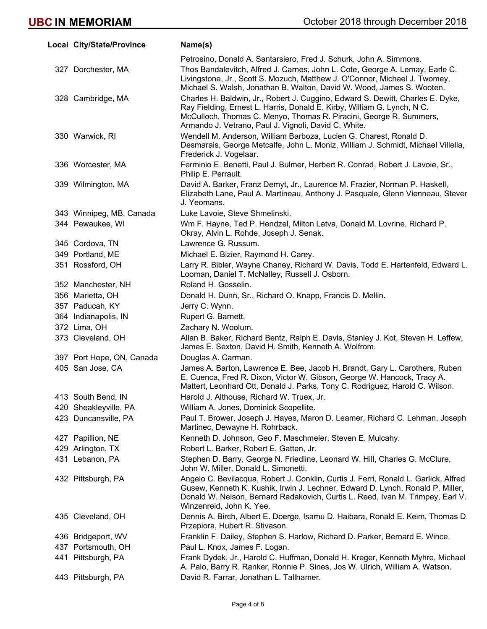| Local City/State/Province | Name(s)                                                                                                                                                                                                                                                                                 |
|---------------------------|-----------------------------------------------------------------------------------------------------------------------------------------------------------------------------------------------------------------------------------------------------------------------------------------|
|                           | Petrosino, Donald A. Santarsiero, Fred J. Schurk, John A. Simmons.                                                                                                                                                                                                                      |
| 327 Dorchester, MA        | Thos Bandalevitch, Alfred J. Carnes, John L. Cote, George A. Lemay, Earle C.<br>Livingstone, Jr., Scott S. Mozuch, Matthew J. O'Connor, Michael J. Twomey,<br>Michael S. Walsh, Jonathan B. Walton, David W. Wood, James S. Wooten.                                                     |
| 328 Cambridge, MA         | Charles H. Baldwin, Jr., Robert J. Cuggino, Edward S. Dewitt, Charles E. Dyke,<br>Ray Fielding, Ernest L. Harris, Donald E. Kirby, William G. Lynch, N C.<br>McCulloch, Thomas C. Menyo, Thomas R. Piracini, George R. Summers,<br>Armando J. Vetrano, Paul J. Vignoli, David C. White. |
| 330 Warwick, RI           | Wendell M. Anderson, William Barboza, Lucien G. Charest, Ronald D.<br>Desmarais, George Metcalfe, John L. Moniz, William J. Schmidt, Michael Villella,<br>Frederick J. Vogelaar.                                                                                                        |
| 336 Worcester, MA         | Ferminio E. Benetti, Paul J. Bulmer, Herbert R. Conrad, Robert J. Lavoie, Sr.,<br>Philip E. Perrault.                                                                                                                                                                                   |
| 339 Wilmington, MA        | David A. Barker, Franz Demyt, Jr., Laurence M. Frazier, Norman P. Haskell,<br>Elizabeth Lane, Paul A. Martineau, Anthony J. Pasquale, Glenn Vienneau, Stever<br>J. Yeomans.                                                                                                             |
| 343 Winnipeg, MB, Canada  | Luke Lavoie, Steve Shmelinski.                                                                                                                                                                                                                                                          |
| 344 Pewaukee, WI          | Wm F. Hayne, Ted P. Hendzel, Milton Latva, Donald M. Lovrine, Richard P.<br>Okray, Alvin L. Rohde, Joseph J. Senak.                                                                                                                                                                     |
| 345 Cordova, TN           | Lawrence G. Russum.                                                                                                                                                                                                                                                                     |
| 349 Portland, ME          | Michael E. Bizier, Raymond H. Carey.                                                                                                                                                                                                                                                    |
| 351 Rossford, OH          | Larry R. Bibler, Wayne Chaney, Richard W. Davis, Todd E. Hartenfeld, Edward L.<br>Looman, Daniel T. McNalley, Russell J. Osborn.                                                                                                                                                        |
| 352 Manchester, NH        | Roland H. Gosselin.                                                                                                                                                                                                                                                                     |
| 356 Marietta, OH          | Donald H. Dunn, Sr., Richard O. Knapp, Francis D. Mellin.                                                                                                                                                                                                                               |
| 357 Paducah, KY           | Jerry C. Wynn.                                                                                                                                                                                                                                                                          |
| 364 Indianapolis, IN      | Rupert G. Barnett.                                                                                                                                                                                                                                                                      |
| 372 Lima, OH              | Zachary N. Woolum.                                                                                                                                                                                                                                                                      |
| 373 Cleveland, OH         | Allan B. Baker, Richard Bentz, Ralph E. Davis, Stanley J. Kot, Steven H. Leffew,<br>James E. Sexton, David H. Smith, Kenneth A. Wolfrom.                                                                                                                                                |
| 397 Port Hope, ON, Canada | Douglas A. Carman.                                                                                                                                                                                                                                                                      |
| 405 San Jose, CA          | James A. Barton, Lawrence E. Bee, Jacob H. Brandt, Gary L. Carothers, Ruben<br>E. Cuenca, Fred R. Dixon, Victor W. Gibson, George W. Hancock, Tracy A.<br>Mattert, Leonhard Ott, Donald J. Parks, Tony C. Rodriguez, Harold C. Wilson.                                                  |
| 413 South Bend, IN        | Harold J. Althouse, Richard W. Truex, Jr.                                                                                                                                                                                                                                               |
| 420 Sheakleyville, PA     | William A. Jones, Dominick Scopellite.                                                                                                                                                                                                                                                  |
| 423 Duncansville, PA      | Paul T. Brower, Joseph J. Hayes, Maron D. Leamer, Richard C. Lehman, Joseph<br>Martinec, Dewayne H. Rohrback.                                                                                                                                                                           |
| 427 Papillion, NE         | Kenneth D. Johnson, Geo F. Maschmeier, Steven E. Mulcahy.                                                                                                                                                                                                                               |
| 429 Arlington, TX         | Robert L. Barker, Robert E. Gatten, Jr.                                                                                                                                                                                                                                                 |
| 431 Lebanon, PA           | Stephen D. Barry, George N. Friedline, Leonard W. Hill, Charles G. McClure,<br>John W. Miller, Donald L. Simonetti.                                                                                                                                                                     |
| 432 Pittsburgh, PA        | Angelo C. Bevilacqua, Robert J. Conklin, Curtis J. Ferri, Ronald L. Garlick, Alfred<br>Gusew, Kenneth K. Kushik, Irwin J. Lechner, Edward D. Lynch, Ronald P. Miller,<br>Donald W. Nelson, Bernard Radakovich, Curtis L. Reed, Ivan M. Trimpey, Earl V.<br>Winzenreid, John K. Yee.     |
| 435 Cleveland, OH         | Dennis A. Birch, Albert E. Doerge, Isamu D. Haibara, Ronald E. Keim, Thomas D.<br>Przepiora, Hubert R. Stivason.                                                                                                                                                                        |
| 436 Bridgeport, WV        | Franklin F. Dailey, Stephen S. Harlow, Richard D. Parker, Bernard E. Wince.                                                                                                                                                                                                             |
| 437 Portsmouth, OH        | Paul L. Knox, James F. Logan.                                                                                                                                                                                                                                                           |
| 441 Pittsburgh, PA        | Frank Dydek, Jr., Harold C. Huffman, Donald H. Kreger, Kenneth Myhre, Michael<br>A. Palo, Barry R. Ranker, Ronnie P. Sines, Jos W. Ulrich, William A. Watson.                                                                                                                           |
| 443 Pittsburgh, PA        | David R. Farrar, Jonathan L. Tallhamer.                                                                                                                                                                                                                                                 |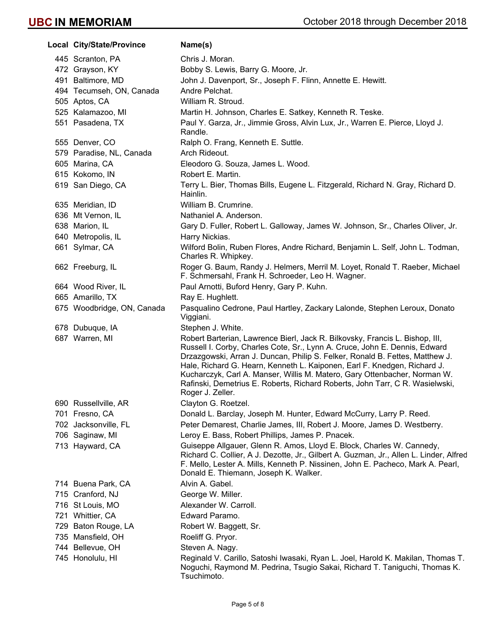| Local City/State/Province  | Name(s)                                                                                                                                                                                                                                                                                                                                                                                                                                                                                                 |
|----------------------------|---------------------------------------------------------------------------------------------------------------------------------------------------------------------------------------------------------------------------------------------------------------------------------------------------------------------------------------------------------------------------------------------------------------------------------------------------------------------------------------------------------|
| 445 Scranton, PA           | Chris J. Moran.                                                                                                                                                                                                                                                                                                                                                                                                                                                                                         |
| 472 Grayson, KY            | Bobby S. Lewis, Barry G. Moore, Jr.                                                                                                                                                                                                                                                                                                                                                                                                                                                                     |
| 491 Baltimore, MD          | John J. Davenport, Sr., Joseph F. Flinn, Annette E. Hewitt.                                                                                                                                                                                                                                                                                                                                                                                                                                             |
| 494 Tecumseh, ON, Canada   | Andre Pelchat.                                                                                                                                                                                                                                                                                                                                                                                                                                                                                          |
| 505 Aptos, CA              | William R. Stroud.                                                                                                                                                                                                                                                                                                                                                                                                                                                                                      |
| 525 Kalamazoo, MI          | Martin H. Johnson, Charles E. Satkey, Kenneth R. Teske.                                                                                                                                                                                                                                                                                                                                                                                                                                                 |
| 551 Pasadena, TX           | Paul Y. Garza, Jr., Jimmie Gross, Alvin Lux, Jr., Warren E. Pierce, Lloyd J.<br>Randle.                                                                                                                                                                                                                                                                                                                                                                                                                 |
| 555 Denver, CO             | Ralph O. Frang, Kenneth E. Suttle.                                                                                                                                                                                                                                                                                                                                                                                                                                                                      |
| 579 Paradise, NL, Canada   | Arch Rideout.                                                                                                                                                                                                                                                                                                                                                                                                                                                                                           |
| 605 Marina, CA             | Eleodoro G. Souza, James L. Wood.                                                                                                                                                                                                                                                                                                                                                                                                                                                                       |
| 615 Kokomo, IN             | Robert E. Martin.                                                                                                                                                                                                                                                                                                                                                                                                                                                                                       |
| 619 San Diego, CA          | Terry L. Bier, Thomas Bills, Eugene L. Fitzgerald, Richard N. Gray, Richard D.<br>Hainlin.                                                                                                                                                                                                                                                                                                                                                                                                              |
| 635 Meridian, ID           | William B. Crumrine.                                                                                                                                                                                                                                                                                                                                                                                                                                                                                    |
| 636 Mt Vernon, IL          | Nathaniel A. Anderson.                                                                                                                                                                                                                                                                                                                                                                                                                                                                                  |
| 638 Marion, IL             | Gary D. Fuller, Robert L. Galloway, James W. Johnson, Sr., Charles Oliver, Jr.                                                                                                                                                                                                                                                                                                                                                                                                                          |
| 640 Metropolis, IL         | Harry Nickias.                                                                                                                                                                                                                                                                                                                                                                                                                                                                                          |
| 661 Sylmar, CA             | Wilford Bolin, Ruben Flores, Andre Richard, Benjamin L. Self, John L. Todman,<br>Charles R. Whipkey.                                                                                                                                                                                                                                                                                                                                                                                                    |
| 662 Freeburg, IL           | Roger G. Baum, Randy J. Helmers, Merril M. Loyet, Ronald T. Raeber, Michael<br>F. Schmersahl, Frank H. Schroeder, Leo H. Wagner.                                                                                                                                                                                                                                                                                                                                                                        |
| 664 Wood River, IL         | Paul Arnotti, Buford Henry, Gary P. Kuhn.                                                                                                                                                                                                                                                                                                                                                                                                                                                               |
| 665 Amarillo, TX           | Ray E. Hughlett.                                                                                                                                                                                                                                                                                                                                                                                                                                                                                        |
| 675 Woodbridge, ON, Canada | Pasqualino Cedrone, Paul Hartley, Zackary Lalonde, Stephen Leroux, Donato<br>Viggiani.                                                                                                                                                                                                                                                                                                                                                                                                                  |
| 678 Dubuque, IA            | Stephen J. White.                                                                                                                                                                                                                                                                                                                                                                                                                                                                                       |
| 687 Warren, MI             | Robert Barterian, Lawrence Bierl, Jack R. Bilkovsky, Francis L. Bishop, III,<br>Russell I. Corby, Charles Cote, Sr., Lynn A. Cruce, John E. Dennis, Edward<br>Drzazgowski, Arran J. Duncan, Philip S. Felker, Ronald B. Fettes, Matthew J.<br>Hale, Richard G. Hearn, Kenneth L. Kaiponen, Earl F. Knedgen, Richard J.<br>Kucharczyk, Carl A. Manser, Willis M. Matero, Gary Ottenbacher, Norman W.<br>Rafinski, Demetrius E. Roberts, Richard Roberts, John Tarr, C R. Wasielwski,<br>Roger J. Zeller. |
| 690 Russellville, AR       | Clayton G. Roetzel.                                                                                                                                                                                                                                                                                                                                                                                                                                                                                     |
| 701 Fresno, CA             | Donald L. Barclay, Joseph M. Hunter, Edward McCurry, Larry P. Reed.                                                                                                                                                                                                                                                                                                                                                                                                                                     |
| 702 Jacksonville, FL       | Peter Demarest, Charlie James, III, Robert J. Moore, James D. Westberry.                                                                                                                                                                                                                                                                                                                                                                                                                                |
| 706 Saginaw, MI            | Leroy E. Bass, Robert Phillips, James P. Pnacek.                                                                                                                                                                                                                                                                                                                                                                                                                                                        |
| 713 Hayward, CA            | Guiseppe Allgauer, Glenn R. Amos, Lloyd E. Block, Charles W. Cannedy,<br>Richard C. Collier, A J. Dezotte, Jr., Gilbert A. Guzman, Jr., Allen L. Linder, Alfred<br>F. Mello, Lester A. Mills, Kenneth P. Nissinen, John E. Pacheco, Mark A. Pearl,<br>Donald E. Thiemann, Joseph K. Walker.                                                                                                                                                                                                             |
| 714 Buena Park, CA         | Alvin A. Gabel.                                                                                                                                                                                                                                                                                                                                                                                                                                                                                         |
| 715 Cranford, NJ           | George W. Miller.                                                                                                                                                                                                                                                                                                                                                                                                                                                                                       |
| 716 St Louis, MO           | Alexander W. Carroll.                                                                                                                                                                                                                                                                                                                                                                                                                                                                                   |
| 721 Whittier, CA           | Edward Paramo.                                                                                                                                                                                                                                                                                                                                                                                                                                                                                          |
| 729 Baton Rouge, LA        | Robert W. Baggett, Sr.                                                                                                                                                                                                                                                                                                                                                                                                                                                                                  |
| 735 Mansfield, OH          | Roeliff G. Pryor.                                                                                                                                                                                                                                                                                                                                                                                                                                                                                       |
| 744 Bellevue, OH           | Steven A. Nagy.                                                                                                                                                                                                                                                                                                                                                                                                                                                                                         |
| 745 Honolulu, HI           | Reginald V. Carillo, Satoshi Iwasaki, Ryan L. Joel, Harold K. Makilan, Thomas T.<br>Noguchi, Raymond M. Pedrina, Tsugio Sakai, Richard T. Taniguchi, Thomas K.<br>Tsuchimoto.                                                                                                                                                                                                                                                                                                                           |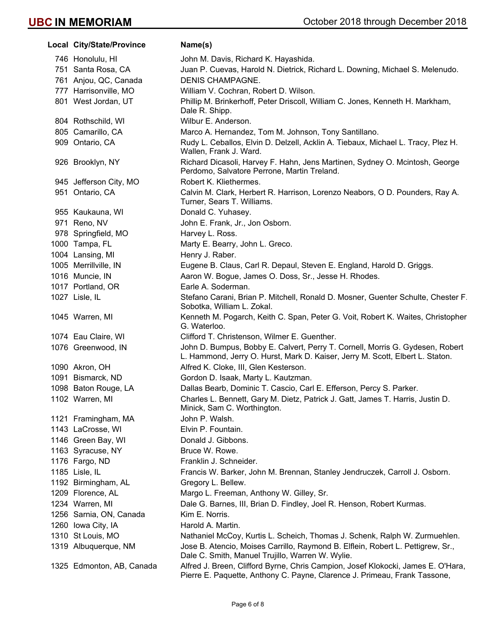| Local City/State/Province | Name(s)                                                                                                                                                        |
|---------------------------|----------------------------------------------------------------------------------------------------------------------------------------------------------------|
| 746 Honolulu, HI          | John M. Davis, Richard K. Hayashida.                                                                                                                           |
| 751 Santa Rosa, CA        | Juan P. Cuevas, Harold N. Dietrick, Richard L. Downing, Michael S. Melenudo.                                                                                   |
| 761 Anjou, QC, Canada     | DENIS CHAMPAGNE.                                                                                                                                               |
| 777 Harrisonville, MO     | William V. Cochran, Robert D. Wilson.                                                                                                                          |
| 801 West Jordan, UT       | Phillip M. Brinkerhoff, Peter Driscoll, William C. Jones, Kenneth H. Markham,<br>Dale R. Shipp.                                                                |
| 804 Rothschild, WI        | Wilbur E. Anderson.                                                                                                                                            |
| 805 Camarillo, CA         | Marco A. Hernandez, Tom M. Johnson, Tony Santillano.                                                                                                           |
| 909 Ontario, CA           | Rudy L. Ceballos, Elvin D. Delzell, Acklin A. Tiebaux, Michael L. Tracy, Plez H.<br>Wallen, Frank J. Ward.                                                     |
| 926 Brooklyn, NY          | Richard Dicasoli, Harvey F. Hahn, Jens Martinen, Sydney O. Mcintosh, George<br>Perdomo, Salvatore Perrone, Martin Treland.                                     |
| 945 Jefferson City, MO    | Robert K. Kliethermes.                                                                                                                                         |
| 951 Ontario, CA           | Calvin M. Clark, Herbert R. Harrison, Lorenzo Neabors, O D. Pounders, Ray A.<br>Turner, Sears T. Williams.                                                     |
| 955 Kaukauna, WI          | Donald C. Yuhasey.                                                                                                                                             |
| 971 Reno, NV              | John E. Frank, Jr., Jon Osborn.                                                                                                                                |
| 978 Springfield, MO       | Harvey L. Ross.                                                                                                                                                |
| 1000 Tampa, FL            | Marty E. Bearry, John L. Greco.                                                                                                                                |
| 1004 Lansing, MI          | Henry J. Raber.                                                                                                                                                |
| 1005 Merrillville, IN     | Eugene B. Claus, Carl R. Depaul, Steven E. England, Harold D. Griggs.                                                                                          |
| 1016 Muncie, IN           | Aaron W. Bogue, James O. Doss, Sr., Jesse H. Rhodes.                                                                                                           |
| 1017 Portland, OR         | Earle A. Soderman.                                                                                                                                             |
| 1027 Lisle, IL            | Stefano Carani, Brian P. Mitchell, Ronald D. Mosner, Guenter Schulte, Chester F.<br>Sobotka, William L. Zokal.                                                 |
| 1045 Warren, MI           | Kenneth M. Pogarch, Keith C. Span, Peter G. Voit, Robert K. Waites, Christopher<br>G. Waterloo.                                                                |
| 1074 Eau Claire, WI       | Clifford T. Christenson, Wilmer E. Guenther.                                                                                                                   |
| 1076 Greenwood, IN        | John D. Bumpus, Bobby E. Calvert, Perry T. Cornell, Morris G. Gydesen, Robert<br>L. Hammond, Jerry O. Hurst, Mark D. Kaiser, Jerry M. Scott, Elbert L. Staton. |
| 1090 Akron, OH            | Alfred K. Cloke, III, Glen Kesterson.                                                                                                                          |
| 1091 Bismarck, ND         | Gordon D. Isaak, Marty L. Kautzman.                                                                                                                            |
| 1098 Baton Rouge, LA      | Dallas Bearb, Dominic T. Cascio, Carl E. Efferson, Percy S. Parker.                                                                                            |
| 1102 Warren, MI           | Charles L. Bennett, Gary M. Dietz, Patrick J. Gatt, James T. Harris, Justin D.<br>Minick, Sam C. Worthington.                                                  |
| 1121 Framingham, MA       | John P. Walsh.                                                                                                                                                 |
| 1143 LaCrosse, WI         | Elvin P. Fountain.                                                                                                                                             |
| 1146 Green Bay, WI        | Donald J. Gibbons.                                                                                                                                             |
| 1163 Syracuse, NY         | Bruce W. Rowe.                                                                                                                                                 |
| 1176 Fargo, ND            | Franklin J. Schneider.                                                                                                                                         |
| 1185 Lisle, IL            | Francis W. Barker, John M. Brennan, Stanley Jendruczek, Carroll J. Osborn.                                                                                     |
| 1192 Birmingham, AL       | Gregory L. Bellew.                                                                                                                                             |
| 1209 Florence, AL         | Margo L. Freeman, Anthony W. Gilley, Sr.                                                                                                                       |
| 1234 Warren, MI           | Dale G. Barnes, III, Brian D. Findley, Joel R. Henson, Robert Kurmas.                                                                                          |
| 1256 Sarnia, ON, Canada   | Kim E. Norris.                                                                                                                                                 |
| 1260 Iowa City, IA        | Harold A. Martin.                                                                                                                                              |
| 1310 St Louis, MO         | Nathaniel McCoy, Kurtis L. Scheich, Thomas J. Schenk, Ralph W. Zurmuehlen.                                                                                     |
| 1319 Albuquerque, NM      | Jose B. Atencio, Moises Carrillo, Raymond B. Elflein, Robert L. Pettigrew, Sr.,<br>Dale C. Smith, Manuel Trujillo, Warren W. Wylie.                            |
| 1325 Edmonton, AB, Canada | Alfred J. Breen, Clifford Byrne, Chris Campion, Josef Klokocki, James E. O'Hara,<br>Pierre E. Paquette, Anthony C. Payne, Clarence J. Primeau, Frank Tassone,  |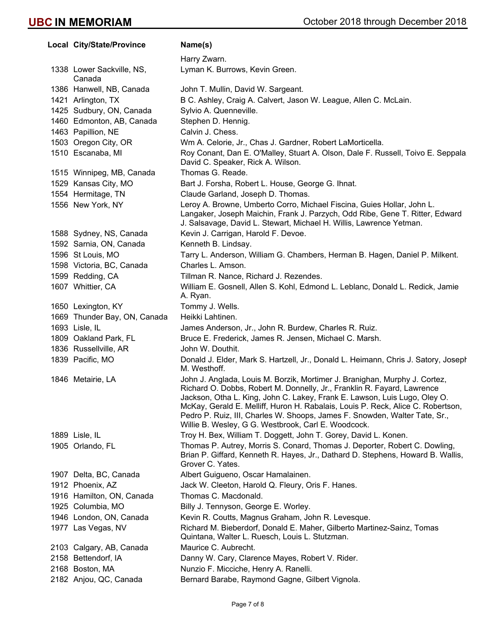| Local City/State/Province           | Name(s)                                                                                                                                                                                                                                                                                                                                                                                                                                                    |
|-------------------------------------|------------------------------------------------------------------------------------------------------------------------------------------------------------------------------------------------------------------------------------------------------------------------------------------------------------------------------------------------------------------------------------------------------------------------------------------------------------|
|                                     | Harry Zwarn.                                                                                                                                                                                                                                                                                                                                                                                                                                               |
| 1338 Lower Sackville, NS,<br>Canada | Lyman K. Burrows, Kevin Green.                                                                                                                                                                                                                                                                                                                                                                                                                             |
| 1386 Hanwell, NB, Canada            | John T. Mullin, David W. Sargeant.                                                                                                                                                                                                                                                                                                                                                                                                                         |
| 1421 Arlington, TX                  | B C. Ashley, Craig A. Calvert, Jason W. League, Allen C. McLain.                                                                                                                                                                                                                                                                                                                                                                                           |
| 1425 Sudbury, ON, Canada            | Sylvio A. Quenneville.                                                                                                                                                                                                                                                                                                                                                                                                                                     |
| 1460 Edmonton, AB, Canada           | Stephen D. Hennig.                                                                                                                                                                                                                                                                                                                                                                                                                                         |
| 1463 Papillion, NE                  | Calvin J. Chess.                                                                                                                                                                                                                                                                                                                                                                                                                                           |
| 1503 Oregon City, OR                | Wm A. Celorie, Jr., Chas J. Gardner, Robert LaMorticella.                                                                                                                                                                                                                                                                                                                                                                                                  |
| 1510 Escanaba, MI                   | Roy Conant, Dan E. O'Malley, Stuart A. Olson, Dale F. Russell, Toivo E. Seppala,<br>David C. Speaker, Rick A. Wilson.                                                                                                                                                                                                                                                                                                                                      |
| 1515 Winnipeg, MB, Canada           | Thomas G. Reade.                                                                                                                                                                                                                                                                                                                                                                                                                                           |
| 1529 Kansas City, MO                | Bart J. Forsha, Robert L. House, George G. Ihnat.                                                                                                                                                                                                                                                                                                                                                                                                          |
| 1554 Hermitage, TN                  | Claude Garland, Joseph D. Thomas.                                                                                                                                                                                                                                                                                                                                                                                                                          |
| 1556 New York, NY                   | Leroy A. Browne, Umberto Corro, Michael Fiscina, Guies Hollar, John L.<br>Langaker, Joseph Maichin, Frank J. Parzych, Odd Ribe, Gene T. Ritter, Edward<br>J. Salsavage, David L. Stewart, Michael H. Willis, Lawrence Yetman.                                                                                                                                                                                                                              |
| 1588 Sydney, NS, Canada             | Kevin J. Carrigan, Harold F. Devoe.                                                                                                                                                                                                                                                                                                                                                                                                                        |
| 1592 Sarnia, ON, Canada             | Kenneth B. Lindsay.                                                                                                                                                                                                                                                                                                                                                                                                                                        |
| 1596 St Louis, MO                   | Tarry L. Anderson, William G. Chambers, Herman B. Hagen, Daniel P. Milkent.                                                                                                                                                                                                                                                                                                                                                                                |
| 1598 Victoria, BC, Canada           | Charles L. Amson.                                                                                                                                                                                                                                                                                                                                                                                                                                          |
| 1599 Redding, CA                    | Tillman R. Nance, Richard J. Rezendes.                                                                                                                                                                                                                                                                                                                                                                                                                     |
| 1607 Whittier, CA                   | William E. Gosnell, Allen S. Kohl, Edmond L. Leblanc, Donald L. Redick, Jamie<br>A. Ryan.                                                                                                                                                                                                                                                                                                                                                                  |
| 1650 Lexington, KY                  | Tommy J. Wells.                                                                                                                                                                                                                                                                                                                                                                                                                                            |
| 1669 Thunder Bay, ON, Canada        | Heikki Lahtinen.                                                                                                                                                                                                                                                                                                                                                                                                                                           |
| 1693 Lisle, IL                      | James Anderson, Jr., John R. Burdew, Charles R. Ruiz.                                                                                                                                                                                                                                                                                                                                                                                                      |
| 1809 Oakland Park, FL               | Bruce E. Frederick, James R. Jensen, Michael C. Marsh.                                                                                                                                                                                                                                                                                                                                                                                                     |
| 1836 Russellville, AR               | John W. Douthit.                                                                                                                                                                                                                                                                                                                                                                                                                                           |
| 1839 Pacific, MO                    | Donald J. Elder, Mark S. Hartzell, Jr., Donald L. Heimann, Chris J. Satory, Joseph<br>M. Westhoff.                                                                                                                                                                                                                                                                                                                                                         |
| 1846 Metairie, LA                   | John J. Anglada, Louis M. Borzik, Mortimer J. Branighan, Murphy J. Cortez,<br>Richard O. Dobbs, Robert M. Donnelly, Jr., Franklin R. Fayard, Lawrence<br>Jackson, Otha L. King, John C. Lakey, Frank E. Lawson, Luis Lugo, Oley O.<br>McKay, Gerald E. Melliff, Huron H. Rabalais, Louis P. Reck, Alice C. Robertson,<br>Pedro P. Ruiz, III, Charles W. Shoops, James F. Snowden, Walter Tate, Sr.,<br>Willie B. Wesley, G G. Westbrook, Carl E. Woodcock. |
| 1889 Lisle, IL                      | Troy H. Bex, William T. Doggett, John T. Gorey, David L. Konen.                                                                                                                                                                                                                                                                                                                                                                                            |
| 1905 Orlando, FL                    | Thomas P. Autrey, Morris S. Conard, Thomas J. Deporter, Robert C. Dowling,<br>Brian P. Giffard, Kenneth R. Hayes, Jr., Dathard D. Stephens, Howard B. Wallis,<br>Grover C. Yates.                                                                                                                                                                                                                                                                          |
| 1907 Delta, BC, Canada              | Albert Guigueno, Oscar Hamalainen.                                                                                                                                                                                                                                                                                                                                                                                                                         |
| 1912 Phoenix, AZ                    | Jack W. Cleeton, Harold Q. Fleury, Oris F. Hanes.                                                                                                                                                                                                                                                                                                                                                                                                          |
| 1916 Hamilton, ON, Canada           | Thomas C. Macdonald.                                                                                                                                                                                                                                                                                                                                                                                                                                       |
| 1925 Columbia, MO                   | Billy J. Tennyson, George E. Worley.                                                                                                                                                                                                                                                                                                                                                                                                                       |
| 1946 London, ON, Canada             | Kevin R. Coutts, Magnus Graham, John R. Levesque.                                                                                                                                                                                                                                                                                                                                                                                                          |
| 1977 Las Vegas, NV                  | Richard M. Bieberdorf, Donald E. Maher, Gilberto Martinez-Sainz, Tomas<br>Quintana, Walter L. Ruesch, Louis L. Stutzman.                                                                                                                                                                                                                                                                                                                                   |
| 2103 Calgary, AB, Canada            | Maurice C. Aubrecht.                                                                                                                                                                                                                                                                                                                                                                                                                                       |
| 2158 Bettendorf, IA                 | Danny W. Cary, Clarence Mayes, Robert V. Rider.                                                                                                                                                                                                                                                                                                                                                                                                            |
| 2168 Boston, MA                     | Nunzio F. Micciche, Henry A. Ranelli.                                                                                                                                                                                                                                                                                                                                                                                                                      |
| 2182 Anjou, QC, Canada              | Bernard Barabe, Raymond Gagne, Gilbert Vignola.                                                                                                                                                                                                                                                                                                                                                                                                            |